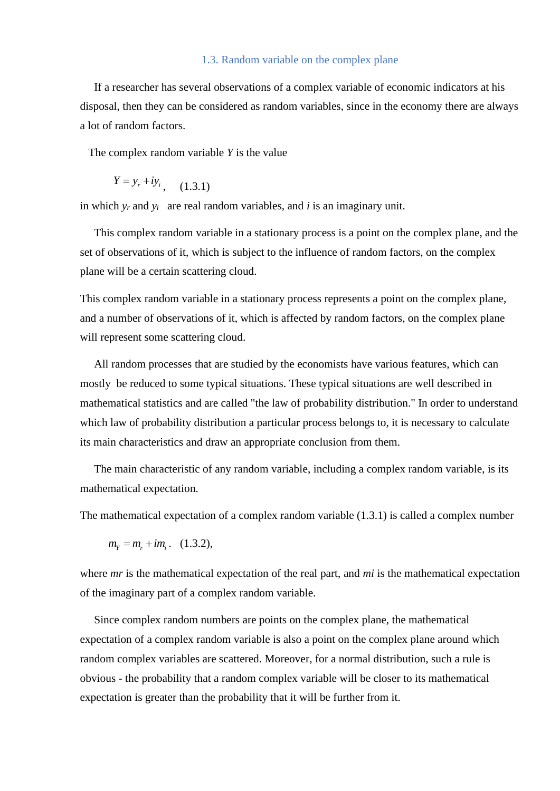## 1.3. Random variable on the complex plane

 If a researcher has several observations of a complex variable of economic indicators at his disposal, then they can be considered as random variables, since in the economy there are always a lot of random factors.

The complex random variable *Y* is the value

$$
Y = y_r + iy_i, \quad (1.3.1)
$$

in which  $y_r$  and  $y_i$  are real random variables, and *i* is an imaginary unit.

 This complex random variable in a stationary process is a point on the complex plane, and the set of observations of it, which is subject to the influence of random factors, on the complex plane will be a certain scattering cloud.

This complex random variable in a stationary process represents a point on the complex plane, and a number of observations of it, which is affected by random factors, on the complex plane will represent some scattering cloud.

 All random processes that are studied by the economists have various features, which can mostly be reduced to some typical situations. These typical situations are well described in mathematical statistics and are called "the law of probability distribution." In order to understand which law of probability distribution a particular process belongs to, it is necessary to calculate its main characteristics and draw an appropriate conclusion from them.

 The main characteristic of any random variable, including a complex random variable, is its mathematical expectation.

The mathematical expectation of a complex random variable (1.3.1) is called a complex number

$$
m_{\gamma} = m_r + im_i
$$
. (1.3.2),

where *mr* is the mathematical expectation of the real part, and *mi* is the mathematical expectation of the imaginary part of a complex random variable.

 Since complex random numbers are points on the complex plane, the mathematical expectation of a complex random variable is also a point on the complex plane around which random complex variables are scattered. Moreover, for a normal distribution, such a rule is obvious - the probability that a random complex variable will be closer to its mathematical expectation is greater than the probability that it will be further from it.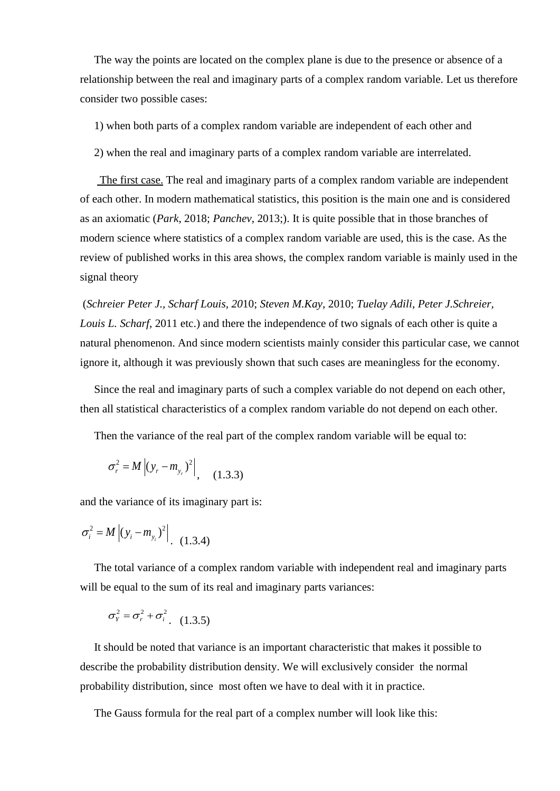The way the points are located on the complex plane is due to the presence or absence of a relationship between the real and imaginary parts of a complex random variable. Let us therefore consider two possible cases:

1) when both parts of a complex random variable are independent of each other and

2) when the real and imaginary parts of a complex random variable are interrelated.

 The first case. The real and imaginary parts of a complex random variable are independent of each other. In modern mathematical statistics, this position is the main one and is considered as an axiomatic (*Park*, 2018; *Panchev*, 2013;). It is quite possible that in those branches of modern science where statistics of a complex random variable are used, this is the case. As the review of published works in this area shows, the complex random variable is mainly used in the signal theory

(*Schreier Peter J., Scharf Louis, 20*10; *Steven M.Kay*, 2010; *Tuelay Adili*, *Peter J.Schreier, Louis L. Scharf*, 2011 etc.) and there the independence of two signals of each other is quite a natural phenomenon. And since modern scientists mainly consider this particular case, we cannot ignore it, although it was previously shown that such cases are meaningless for the economy.

 Since the real and imaginary parts of such a complex variable do not depend on each other, then all statistical characteristics of a complex random variable do not depend on each other.

Then the variance of the real part of the complex random variable will be equal to:

$$
\sigma_r^2 = M \left| (y_r - m_{y_r})^2 \right|, \quad (1.3.3)
$$

and the variance of its imaginary part is:

$$
\sigma_i^2 = M |(y_i - m_{y_i})^2| \quad (1.3.4)
$$

 The total variance of a complex random variable with independent real and imaginary parts will be equal to the sum of its real and imaginary parts variances:

$$
\sigma_{\scriptscriptstyle Y}^2 = \sigma_{\scriptscriptstyle r}^2 + \sigma_{\scriptscriptstyle i}^2 \quad (1.3.5)
$$

 It should be noted that variance is an important characteristic that makes it possible to describe the probability distribution density. We will exclusively consider the normal probability distribution, since most often we have to deal with it in practice.

The Gauss formula for the real part of a complex number will look like this: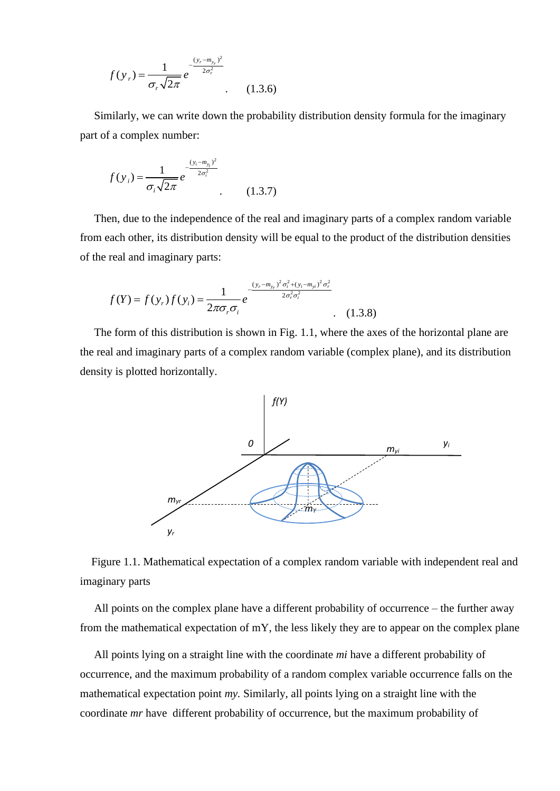$$
f(y_r) = \frac{1}{\sigma_r \sqrt{2\pi}} e^{-\frac{(y_r - m_{y_r})^2}{2\sigma_r^2}}
$$
 (1.3.6)

 Similarly, we can write down the probability distribution density formula for the imaginary part of a complex number:

$$
f(y_i) = \frac{1}{\sigma_i \sqrt{2\pi}} e^{-\frac{(y_i - m_{y_i})^2}{2\sigma_i^2}}
$$
 (1.3.7)

 Then, due to the independence of the real and imaginary parts of a complex random variable from each other, its distribution density will be equal to the product of the distribution densities of the real and imaginary parts:

$$
f(Y) = f(y_r) f(y_i) = \frac{1}{2\pi\sigma_r \sigma_i} e^{-\frac{(y_r - m_{y_r})^2 \sigma_i^2 + (y_i - m_{yi})^2 \sigma_r^2}{2\sigma_r^2 \sigma_i^2}} \tag{1.3.8}
$$

 The form of this distribution is shown in Fig. 1.1, where the axes of the horizontal plane are the real and imaginary parts of a complex random variable (complex plane), and its distribution density is plotted horizontally.



 Figure 1.1. Mathematical expectation of a complex random variable with independent real and imaginary parts

 All points on the complex plane have a different probability of occurrence – the further away from the mathematical expectation of  $mY$ , the less likely they are to appear on the complex plane

 All points lying on a straight line with the coordinate *mi* have a different probability of occurrence, and the maximum probability of a random complex variable occurrence falls on the mathematical expectation point *my.* Similarly, all points lying on a straight line with the coordinate *mr* have different probability of occurrence, but the maximum probability of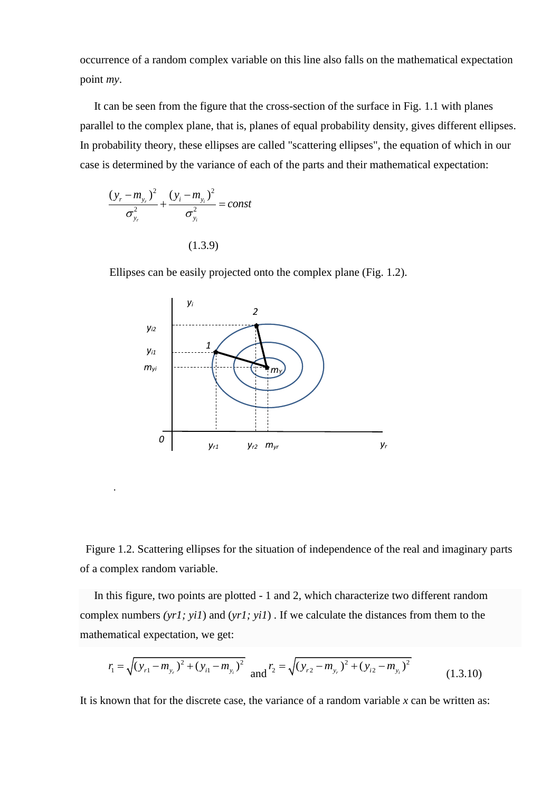occurrence of a random complex variable on this line also falls on the mathematical expectation point *my*.

 It can be seen from the figure that the cross-section of the surface in Fig. 1.1 with planes parallel to the complex plane, that is, planes of equal probability density, gives different ellipses. In probability theory, these ellipses are called "scattering ellipses", the equation of which in our case is determined by the variance of each of the parts and their mathematical expectation:

$$
\frac{(y_r - m_{y_r})^2}{\sigma_{y_r}^2} + \frac{(y_i - m_{y_i})^2}{\sigma_{y_i}^2} = const
$$
\n(1.3.9)

.

Ellipses can be easily projected onto the complex plane (Fig. 1.2).



 Figure 1.2. Scattering ellipses for the situation of independence of the real and imaginary parts of a complex random variable. *1*

 In this figure, two points are plotted - 1 and 2, which characterize two different random complex numbers *(yr1; yi1*) and (*yr1; yi1*) . If we calculate the distances from them to the mathematical expectation, we get:

$$
r_{1} = \sqrt{(y_{r1} - m_{y_{r}})^{2} + (y_{i1} - m_{y_{i}})^{2}} \text{ and } r_{2} = \sqrt{(y_{r2} - m_{y_{r}})^{2} + (y_{i2} - m_{y_{i}})^{2}}
$$
(1.3.10)

It is known that for the discrete case, the variance of a random variable *x* can be written as: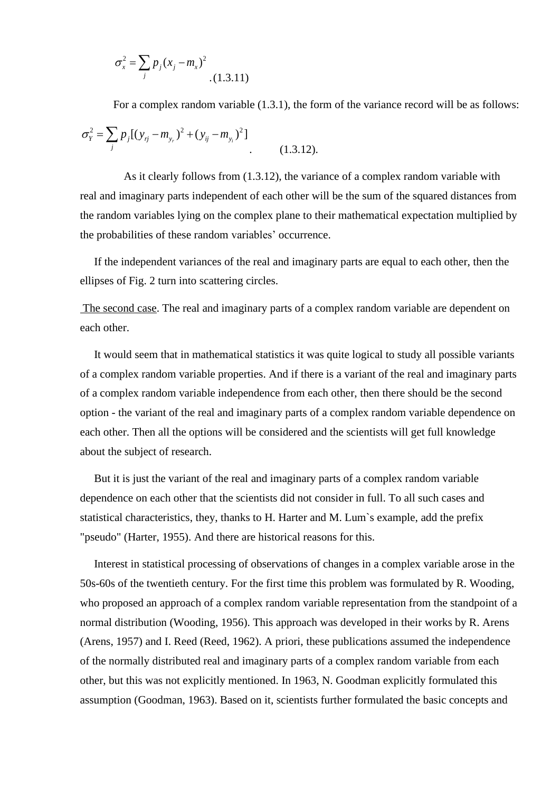$$
\sigma_x^2 = \sum_j p_j (x_j - m_x)^2
$$
 (1.3.11)

For a complex random variable (1.3.1), the form of the variance record will be as follows:

$$
\sigma_Y^2 = \sum_j p_j [(y_{rj} - m_{y_r})^2 + (y_{ij} - m_{y_i})^2]
$$
\n(1.3.12).

As it clearly follows from (1.3.12), the variance of a complex random variable with real and imaginary parts independent of each other will be the sum of the squared distances from the random variables lying on the complex plane to their mathematical expectation multiplied by the probabilities of these random variables' occurrence.

 If the independent variances of the real and imaginary parts are equal to each other, then the ellipses of Fig. 2 turn into scattering circles.

The second case. The real and imaginary parts of a complex random variable are dependent on each other.

 It would seem that in mathematical statistics it was quite logical to study all possible variants of a complex random variable properties. And if there is a variant of the real and imaginary parts of a complex random variable independence from each other, then there should be the second option - the variant of the real and imaginary parts of a complex random variable dependence on each other. Then all the options will be considered and the scientists will get full knowledge about the subject of research.

 But it is just the variant of the real and imaginary parts of a complex random variable dependence on each other that the scientists did not consider in full. To all such cases and statistical characteristics, they, thanks to H. Harter and M. Lum`s example, add the prefix "pseudo" (Harter, 1955). And there are historical reasons for this.

 Interest in statistical processing of observations of changes in a complex variable arose in the 50s-60s of the twentieth century. For the first time this problem was formulated by R. Wooding, who proposed an approach of a complex random variable representation from the standpoint of a normal distribution (Wooding, 1956). This approach was developed in their works by R. Arens (Arens, 1957) and I. Reed (Reed, 1962). A priori, these publications assumed the independence of the normally distributed real and imaginary parts of a complex random variable from each other, but this was not explicitly mentioned. In 1963, N. Goodman explicitly formulated this assumption (Goodman, 1963). Based on it, scientists further formulated the basic concepts and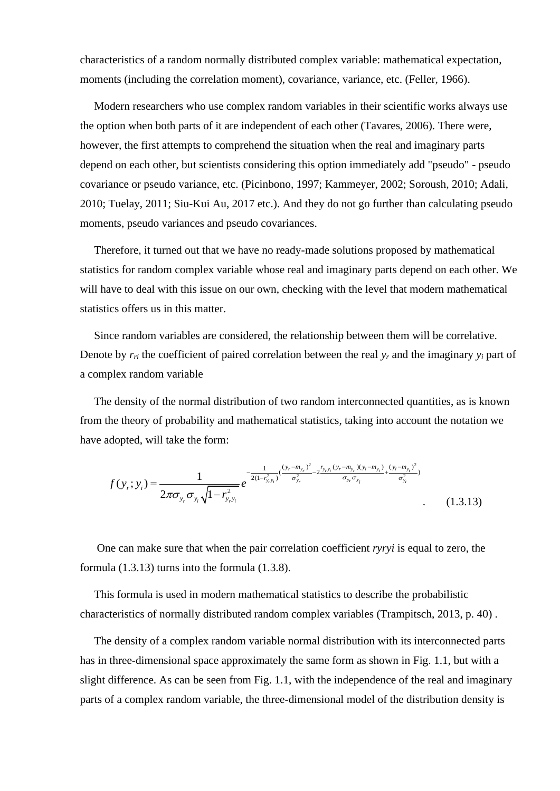characteristics of a random normally distributed complex variable: mathematical expectation, moments (including the correlation moment), covariance, variance, etc. (Feller, 1966).

 Modern researchers who use complex random variables in their scientific works always use the option when both parts of it are independent of each other (Tavares, 2006). There were, however, the first attempts to comprehend the situation when the real and imaginary parts depend on each other, but scientists considering this option immediately add "pseudo" - pseudo covariance or pseudo variance, etc. (Picinbono, 1997; Kammeyer, 2002; Soroush, 2010; Adali, 2010; Tuelay, 2011; Siu-Kui Au, 2017 etc.). And they do not go further than calculating pseudo moments, pseudo variances and pseudo covariances.

 Therefore, it turned out that we have no ready-made solutions proposed by mathematical statistics for random complex variable whose real and imaginary parts depend on each other. We will have to deal with this issue on our own, checking with the level that modern mathematical statistics offers us in this matter.

 Since random variables are considered, the relationship between them will be correlative. Denote by  $r_{ri}$  the coefficient of paired correlation between the real  $y_r$  and the imaginary  $y_i$  part of a complex random variable

 The density of the normal distribution of two random interconnected quantities, as is known from the theory of probability and mathematical statistics, taking into account the notation we have adopted, will take the form:

$$
f(y_r; y_i) = \frac{1}{2\pi\sigma_{y_r}\sigma_{y_i}\sqrt{1 - r_{y_r}^2}} e^{-\frac{1}{2(1 - r_{y_r}^2)}(\frac{(y_r - m_{y_r})^2}{\sigma_{y_r}^2} - 2\frac{r_{y_r y_i}(y_r - m_{y_r})(y_i - m_{y_i})}{\sigma_{y_r}\sigma_{y_i}} + \frac{(y_i - m_{y_i})^2}{\sigma_{y_i}^2})}
$$
(1.3.13)

 One can make sure that when the pair correlation coefficient *ryryi* is equal to zero, the formula (1.3.13) turns into the formula (1.3.8).

 This formula is used in modern mathematical statistics to describe the probabilistic characteristics of normally distributed random complex variables (Trampitsch, 2013, p. 40) .

 The density of a complex random variable normal distribution with its interconnected parts has in three-dimensional space approximately the same form as shown in Fig. 1.1, but with a slight difference. As can be seen from Fig. 1.1, with the independence of the real and imaginary parts of a complex random variable, the three-dimensional model of the distribution density is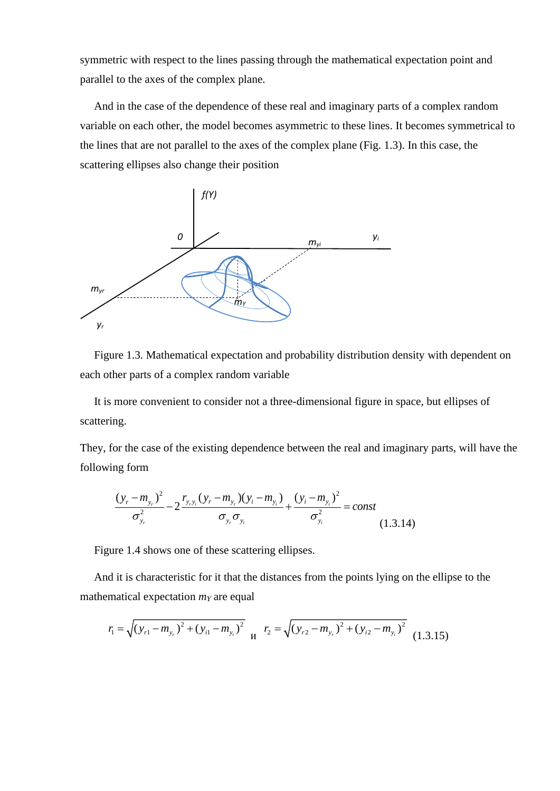symmetric with respect to the lines passing through the mathematical expectation point and parallel to the axes of the complex plane.

 And in the case of the dependence of these real and imaginary parts of a complex random variable on each other, the model becomes asymmetric to these lines. It becomes symmetrical to the lines that are not parallel to the axes of the complex plane (Fig. 1.3). In this case, the scattering ellipses also change their position



 Figure 1.3. Mathematical expectation and probability distribution density with dependent on each other parts of a complex random variable

 It is more convenient to consider not a three-dimensional figure in space, but ellipses of scattering.

They, for the case of the existing dependence between the real and imaginary parts, will have the following form

ng form  
\n
$$
\frac{(y_r - m_{y_r})^2}{\sigma_{y_r}^2} - 2 \frac{r_{y_r y_i} (y_r - m_{y_r}) (y_i - m_{y_i})}{\sigma_{y_r} \sigma_{y_i}} + \frac{(y_i - m_{y_i})^2}{\sigma_{y_i}^2} = const
$$
\n(1.3.14)

Figure 1.4 shows one of these scattering ellipses.

 And it is characteristic for it that the distances from the points lying on the ellipse to the mathematical expectation *m<sup>Y</sup>* are equal

$$
r_1 = \sqrt{(y_{r1} - m_{y_r})^2 + (y_{i1} - m_{y_i})^2} \quad n_2 = \sqrt{(y_{r2} - m_{y_r})^2 + (y_{i2} - m_{y_i})^2} \quad (1.3.15)
$$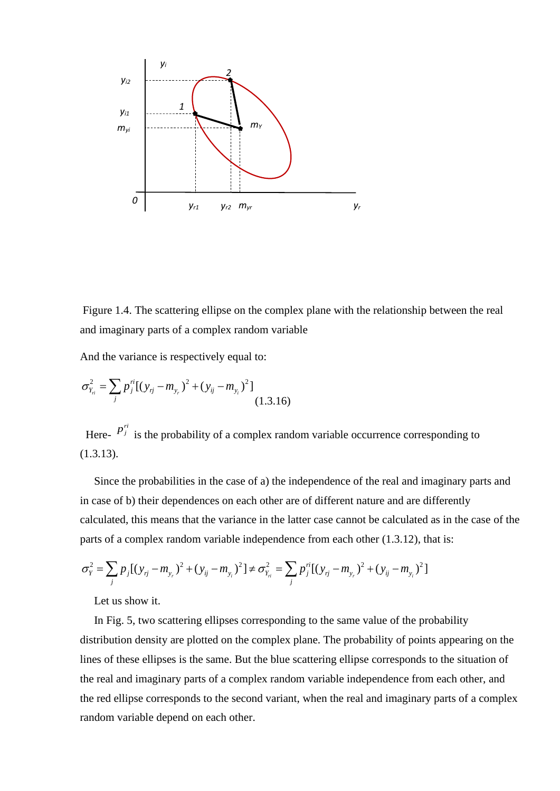

Figure 1.4. The scattering ellipse on the complex plane with the relationship between the real and imaginary parts of a complex random variable

And the variance is respectively equal to:

$$
\sigma_{Y_{ri}}^2 = \sum_j p_j^{ri} [(y_{rj} - m_{y_r})^2 + (y_{ij} - m_{y_i})^2]
$$
\n(1.3.16)

Here-  $p_j^{ri}$  is the probability of a complex random variable occurrence corresponding to (1.3.13).

 Since the probabilities in the case of a) the independence of the real and imaginary parts and in case of b) their dependences on each other are of different nature and are differently calculated, this means that the variance in the latter case cannot be calculated as in the case of the parts of a complex random variable independence from each other (1.3.12), that is: calculated, this means that the variance in the latter case cannot be calculated as in parts of a complex random variable independence from each other (1.3.12), that is  $\sigma_Y^2 = \sum_j p_j [(y_{rj} - m_{y_r})^2 + (y_{ij} - m_{y_i})^2] \neq \sigma_{Y_{ri}}^$ 

$$
\sigma_Y^2 = \sum_j p_j [(y_{rj} - m_{y_r})^2 + (y_{ij} - m_{y_i})^2] \neq \sigma_{Y_{ri}}^2 = \sum_j p_j^{ri} [(y_{rj} - m_{y_r})^2 + (y_{ij} - m_{y_i})^2]
$$

Let us show it.

 In Fig. 5, two scattering ellipses corresponding to the same value of the probability distribution density are plotted on the complex plane. The probability of points appearing on the lines of these ellipses is the same. But the blue scattering ellipse corresponds to the situation of the real and imaginary parts of a complex random variable independence from each other, and the red ellipse corresponds to the second variant, when the real and imaginary parts of a complex random variable depend on each other.